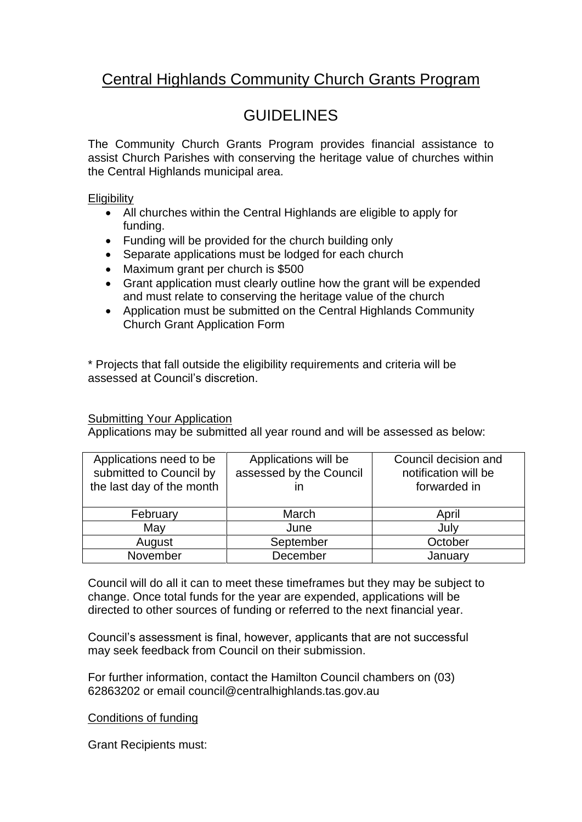## Central Highlands Community Church Grants Program

## **GUIDELINES**

The Community Church Grants Program provides financial assistance to assist Church Parishes with conserving the heritage value of churches within the Central Highlands municipal area.

## **Eligibility**

- All churches within the Central Highlands are eligible to apply for funding.
- Funding will be provided for the church building only
- Separate applications must be lodged for each church
- Maximum grant per church is \$500
- Grant application must clearly outline how the grant will be expended and must relate to conserving the heritage value of the church
- Application must be submitted on the Central Highlands Community Church Grant Application Form

\* Projects that fall outside the eligibility requirements and criteria will be assessed at Council's discretion.

## Submitting Your Application

Applications may be submitted all year round and will be assessed as below:

| Applications need to be<br>submitted to Council by<br>the last day of the month | Applications will be<br>assessed by the Council<br>ın | Council decision and<br>notification will be<br>forwarded in |
|---------------------------------------------------------------------------------|-------------------------------------------------------|--------------------------------------------------------------|
| February                                                                        | March                                                 | April                                                        |
| May                                                                             | June                                                  | July                                                         |
| August                                                                          | September                                             | October                                                      |
| November                                                                        | December                                              | January                                                      |

Council will do all it can to meet these timeframes but they may be subject to change. Once total funds for the year are expended, applications will be directed to other sources of funding or referred to the next financial year.

Council's assessment is final, however, applicants that are not successful may seek feedback from Council on their submission.

For further information, contact the Hamilton Council chambers on (03) 62863202 or email council@centralhighlands.tas.gov.au

Conditions of funding

Grant Recipients must: